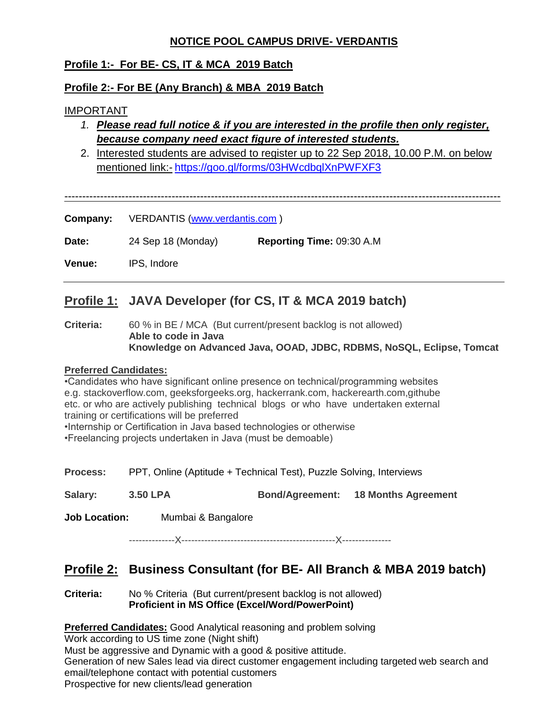## **NOTICE POOL CAMPUS DRIVE- VERDANTIS**

## **Profile 1:- For BE- CS, IT & MCA 2019 Batch**

## **Profile 2:- For BE (Any Branch) & MBA 2019 Batch**

### IMPORTANT

- *1. Please read full notice & if you are interested in the profile then only register, because company need exact figure of interested students.*
- 2. Interested students are advised to register up to 22 Sep 2018, 10.00 P.M. on below mentioned link:- <https://goo.gl/forms/03HWcdbqlXnPWFXF3>

--------------------------------------------------------------------------------------------------------------------------

**Company:** VERDANTIS [\(www.verdantis.com](http://www.verdantis.com/) )

**Date:** 24 Sep 18 (Monday) **Reporting Time:** 09:30 A.M

**Venue:** IPS, Indore

# **Profile 1: JAVA Developer (for CS, IT & MCA 2019 batch)**

**Criteria:** 60 % in BE / MCA (But current/present backlog is not allowed) **Able to code in Java Knowledge on Advanced Java, OOAD, JDBC, RDBMS, NoSQL, Eclipse, Tomcat**

#### **Preferred Candidates:**

•Candidates who have significant online presence on technical/programming websites e.g. stackoverflow.com, geeksforgeeks.org, hackerrank.com, hackerearth.com,githube etc. or who are actively publishing technical blogs or who have undertaken external training or certifications will be preferred

•Internship or Certification in Java based technologies or otherwise

•Freelancing projects undertaken in Java (must be demoable)

**Process:** PPT, Online (Aptitude + Technical Test), Puzzle Solving, Interviews

**Salary: 3.50 LPA Bond/Agreement: 18 Months Agreement**

**Job Location:** Mumbai & Bangalore

--------------X-----------------------------------------------X---------------

# **Profile 2: Business Consultant (for BE- All Branch & MBA 2019 batch)**

**Criteria:** No % Criteria (But current/present backlog is not allowed) **Proficient in MS Office (Excel/Word/PowerPoint)**

**Preferred Candidates:** Good Analytical reasoning and problem solving Work according to US time zone (Night shift)

Must be aggressive and Dynamic with a good & positive attitude.

Generation of new Sales lead via direct customer engagement including targeted web search and email/telephone contact with potential customers

Prospective for new clients/lead generation